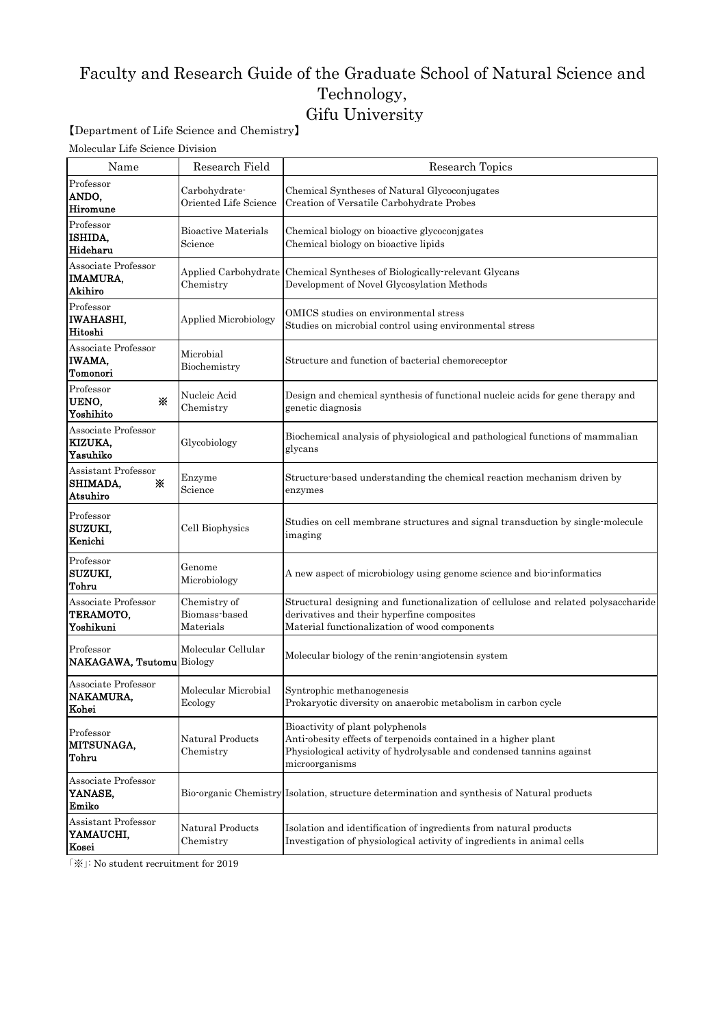## Faculty and Research Guide of the Graduate School of Natural Science and Technology, Gifu University

【Department of Life Science and Chemistry】

Molecular Life Science Division

| Name                                              | Research Field                             | Research Topics                                                                                                                                                                              |
|---------------------------------------------------|--------------------------------------------|----------------------------------------------------------------------------------------------------------------------------------------------------------------------------------------------|
| Professor<br>ANDO,<br>Hiromune                    | Carbohydrate-<br>Oriented Life Science     | Chemical Syntheses of Natural Glycoconjugates<br>Creation of Versatile Carbohydrate Probes                                                                                                   |
| Professor<br>ISHIDA,<br>Hideharu                  | Bioactive Materials<br>Science             | Chemical biology on bioactive glycoconjgates<br>Chemical biology on bioactive lipids                                                                                                         |
| Associate Professor<br><b>IMAMURA,</b><br>Akihiro | Chemistry                                  | Applied Carbohydrate Chemical Syntheses of Biologically relevant Glycans<br>Development of Novel Glycosylation Methods                                                                       |
| Professor<br><b>IWAHASHI,</b><br>Hitoshi          | Applied Microbiology                       | OMICS studies on environmental stress<br>Studies on microbial control using environmental stress                                                                                             |
| Associate Professor<br><b>IWAMA,</b><br>Tomonori  | Microbial<br>Biochemistry                  | Structure and function of bacterial chemoreceptor                                                                                                                                            |
| Professor<br>UENO,<br>⋇<br>Yoshihito              | Nucleic Acid<br>Chemistry                  | Design and chemical synthesis of functional nucleic acids for gene therapy and<br>genetic diagnosis                                                                                          |
| Associate Professor<br>KIZUKA,<br>Yasuhiko        | Glycobiology                               | Biochemical analysis of physiological and pathological functions of mammalian<br>glycans                                                                                                     |
| Assistant Professor<br>SHIMADA,<br>⋇<br>Atsuhiro  | Enzyme<br>Science                          | Structure based understanding the chemical reaction mechanism driven by<br>enzymes                                                                                                           |
| Professor<br>SUZUKI,<br>Kenichi                   | Cell Biophysics                            | Studies on cell membrane structures and signal transduction by single-molecule<br>imaging                                                                                                    |
| Professor<br>SUZUKI,<br>Tohru                     | Genome<br>Microbiology                     | A new aspect of microbiology using genome science and bio-informatics                                                                                                                        |
| Associate Professor<br>TERAMOTO,<br>Yoshikuni     | Chemistry of<br>Biomass-based<br>Materials | Structural designing and functionalization of cellulose and related polysaccharide<br>derivatives and their hyperfine composites<br>Material functionalization of wood components            |
| Professor<br>NAKAGAWA, Tsutomu Biology            | Molecular Cellular                         | Molecular biology of the renin-angiotensin system                                                                                                                                            |
| Associate Professor<br><b>NAKAMURA,</b><br>Kohei  | Molecular Microbial<br>Ecology             | Syntrophic methanogenesis<br>Prokaryotic diversity on anaerobic metabolism in carbon cycle                                                                                                   |
| Professor<br>MITSUNAGA,<br>Tohru                  | Natural Products<br>Chemistry              | Bioactivity of plant polyphenols<br>Anti-obesity effects of terpenoids contained in a higher plant<br>Physiological activity of hydrolysable and condensed tanning against<br>microorganisms |
| Associate Professor<br>YANASE,<br>Emiko           |                                            | Bio-organic Chemistry Isolation, structure determination and synthesis of Natural products                                                                                                   |
| Assistant Professor<br>YAMAUCHI,<br>Kosei         | Natural Products<br>Chemistry              | Isolation and identification of ingredients from natural products<br>Investigation of physiological activity of ingredients in animal cells                                                  |

「※」: No student recruitment for 2019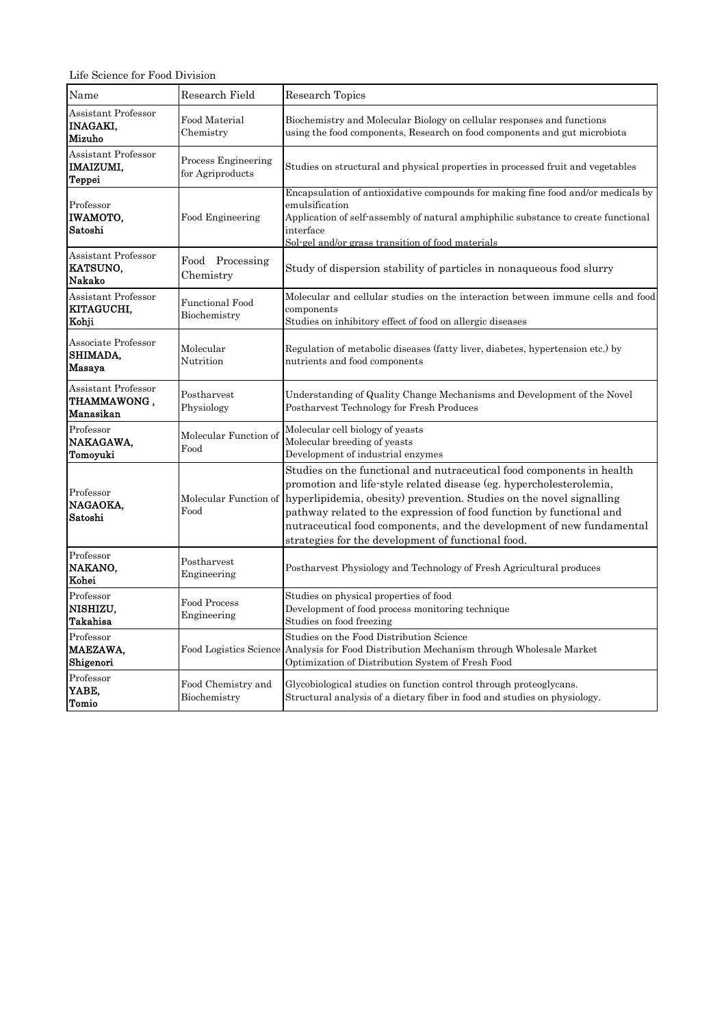Life Science for Food Division

| Name                                                     | Research Field                          | Research Topics                                                                                                                                                                                                                                                                                                                                                                                                             |
|----------------------------------------------------------|-----------------------------------------|-----------------------------------------------------------------------------------------------------------------------------------------------------------------------------------------------------------------------------------------------------------------------------------------------------------------------------------------------------------------------------------------------------------------------------|
| Assistant Professor<br><b>INAGAKI.</b><br>Mizuho         | Food Material<br>Chemistry              | Biochemistry and Molecular Biology on cellular responses and functions<br>using the food components, Research on food components and gut microbiota                                                                                                                                                                                                                                                                         |
| Assistant Professor<br><b>IMAIZUMI,</b><br><b>Teppei</b> | Process Engineering<br>for Agriproducts | Studies on structural and physical properties in processed fruit and vegetables                                                                                                                                                                                                                                                                                                                                             |
| Professor<br>IWAMOTO,<br>Satoshi                         | Food Engineering                        | Encapsulation of antioxidative compounds for making fine food and/or medicals by<br>emulsification<br>Application of self-assembly of natural amphiphilic substance to create functional<br>interface<br>Sol-gel and/or grass transition of food materials                                                                                                                                                                  |
| Assistant Professor<br>KATSUNO,<br><b>Nakako</b>         | Food Processing<br>Chemistry            | Study of dispersion stability of particles in nonaqueous food slurry                                                                                                                                                                                                                                                                                                                                                        |
| Assistant Professor<br>KITAGUCHI.<br>Kohji               | <b>Functional Food</b><br>Biochemistry  | Molecular and cellular studies on the interaction between immune cells and food<br>components<br>Studies on inhibitory effect of food on allergic diseases                                                                                                                                                                                                                                                                  |
| Associate Professor<br>SHIMADA,<br>Masaya                | Molecular<br>Nutrition                  | Regulation of metabolic diseases (fatty liver, diabetes, hypertension etc.) by<br>nutrients and food components                                                                                                                                                                                                                                                                                                             |
| Assistant Professor<br>THAMMAWONG,<br>Manasikan          | Postharvest<br>Physiology               | Understanding of Quality Change Mechanisms and Development of the Novel<br>Postharvest Technology for Fresh Produces                                                                                                                                                                                                                                                                                                        |
| Professor<br>NAKAGAWA,<br>Tomoyuki                       | Molecular Function of<br>Food           | Molecular cell biology of yeasts<br>Molecular breeding of yeasts<br>Development of industrial enzymes                                                                                                                                                                                                                                                                                                                       |
| Professor<br>NAGAOKA,<br>Satoshi                         | Molecular Function of<br>Food           | Studies on the functional and nutraceutical food components in health<br>promotion and life-style related disease (eg. hypercholesterolemia,<br>hyperlipidemia, obesity) prevention. Studies on the novel signalling<br>pathway related to the expression of food function by functional and<br>nutraceutical food components, and the development of new fundamental<br>strategies for the development of functional food. |
| Professor<br>NAKANO,<br>Kohei                            | Postharvest<br>Engineering              | Postharvest Physiology and Technology of Fresh Agricultural produces                                                                                                                                                                                                                                                                                                                                                        |
| Professor<br>NISHIZU,<br><b>Takahisa</b>                 | Food Process<br>Engineering             | Studies on physical properties of food<br>Development of food process monitoring technique<br>Studies on food freezing                                                                                                                                                                                                                                                                                                      |
| Professor<br>MAEZAWA,<br>Shigenori                       | Food Logistics Science                  | Studies on the Food Distribution Science<br>Analysis for Food Distribution Mechanism through Wholesale Market<br>Optimization of Distribution System of Fresh Food                                                                                                                                                                                                                                                          |
| Professor<br>YABE,<br>Tomio                              | Food Chemistry and<br>Biochemistry      | Glycobiological studies on function control through proteoglycans.<br>Structural analysis of a dietary fiber in food and studies on physiology.                                                                                                                                                                                                                                                                             |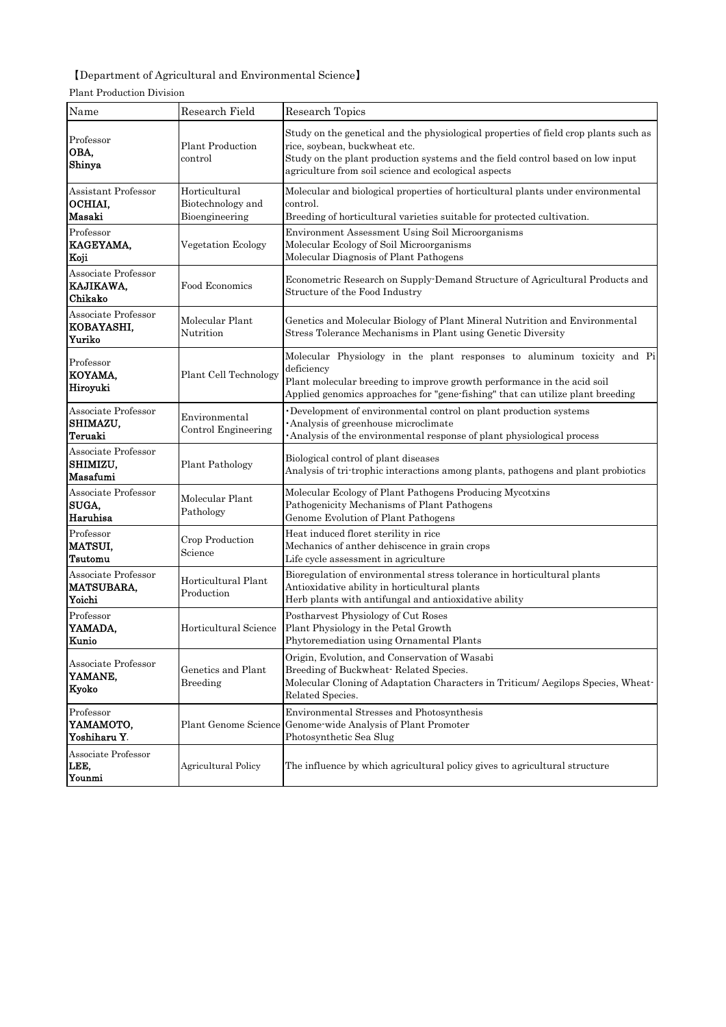## 【Department of Agricultural and Environmental Science】

| Name                                              | Research Field                                       | Research Topics                                                                                                                                                                                                                                                 |
|---------------------------------------------------|------------------------------------------------------|-----------------------------------------------------------------------------------------------------------------------------------------------------------------------------------------------------------------------------------------------------------------|
| Professor<br>OBA,<br>Shinya                       | <b>Plant Production</b><br>control                   | Study on the genetical and the physiological properties of field crop plants such as<br>rice, soybean, buckwheat etc.<br>Study on the plant production systems and the field control based on low input<br>agriculture from soil science and ecological aspects |
| Assistant Professor<br>OCHIAI,<br>Masaki          | Horticultural<br>Biotechnology and<br>Bioengineering | Molecular and biological properties of horticultural plants under environmental<br>control.<br>Breeding of horticultural varieties suitable for protected cultivation.                                                                                          |
| Professor<br>KAGEYAMA,<br>Koji                    | Vegetation Ecology                                   | Environment Assessment Using Soil Microorganisms<br>Molecular Ecology of Soil Microorganisms<br>Molecular Diagnosis of Plant Pathogens                                                                                                                          |
| Associate Professor<br>KAJIKAWA,<br>Chikako       | Food Economics                                       | Econometric Research on Supply Demand Structure of Agricultural Products and<br>Structure of the Food Industry                                                                                                                                                  |
| Associate Professor<br>KOBAYASHI,<br>Yuriko       | Molecular Plant<br>Nutrition                         | Genetics and Molecular Biology of Plant Mineral Nutrition and Environmental<br>Stress Tolerance Mechanisms in Plant using Genetic Diversity                                                                                                                     |
| Professor<br>KOYAMA,<br>Hiroyuki                  | Plant Cell Technology                                | Molecular Physiology in the plant responses to aluminum toxicity and Pi<br>deficiency<br>Plant molecular breeding to improve growth performance in the acid soil<br>Applied genomics approaches for "gene fishing" that can utilize plant breeding              |
| Associate Professor<br>SHIMAZU,<br>Teruaki        | Environmental<br>Control Engineering                 | Development of environmental control on plant production systems<br>Analysis of greenhouse microclimate<br>Analysis of the environmental response of plant physiological process                                                                                |
| Associate Professor<br>SHIMIZU,<br>Masafumi       | <b>Plant Pathology</b>                               | Biological control of plant diseases<br>Analysis of tri-trophic interactions among plants, pathogens and plant probiotics                                                                                                                                       |
| Associate Professor<br>SUGA,<br>Haruhisa          | Molecular Plant<br>Pathology                         | Molecular Ecology of Plant Pathogens Producing Mycotxins<br>Pathogenicity Mechanisms of Plant Pathogens<br>Genome Evolution of Plant Pathogens                                                                                                                  |
| Professor<br>MATSUI,<br>Tsutomu                   | Crop Production<br>Science                           | Heat induced floret sterility in rice<br>Mechanics of anther dehiscence in grain crops<br>Life cycle assessment in agriculture                                                                                                                                  |
| Associate Professor<br><b>MATSUBARA</b><br>Yoichi | Horticultural Plant<br>Production                    | Bioregulation of environmental stress tolerance in horticultural plants<br>Antioxidative ability in horticultural plants<br>Herb plants with antifungal and antioxidative ability                                                                               |
| Professor<br>YAMADA,<br>Kunio                     | Horticultural Science                                | Postharvest Physiology of Cut Roses<br>Plant Physiology in the Petal Growth<br>Phytoremediation using Ornamental Plants                                                                                                                                         |
| Associate Professor<br>YAMANE,<br>Kyoko           | Genetics and Plant<br>Breeding                       | Origin, Evolution, and Conservation of Wasabi<br>Breeding of Buckwheat Related Species.<br>Molecular Cloning of Adaptation Characters in Triticum/Aegilops Species, Wheat-<br>Related Species.                                                                  |
| Professor<br>YAMAMOTO,<br>Yoshiharu Y.            | Plant Genome Science                                 | Environmental Stresses and Photosynthesis<br>Genome wide Analysis of Plant Promoter<br>Photosynthetic Sea Slug                                                                                                                                                  |
| Associate Professor<br>LEE,<br>Younmi             | <b>Agricultural Policy</b>                           | The influence by which agricultural policy gives to agricultural structure                                                                                                                                                                                      |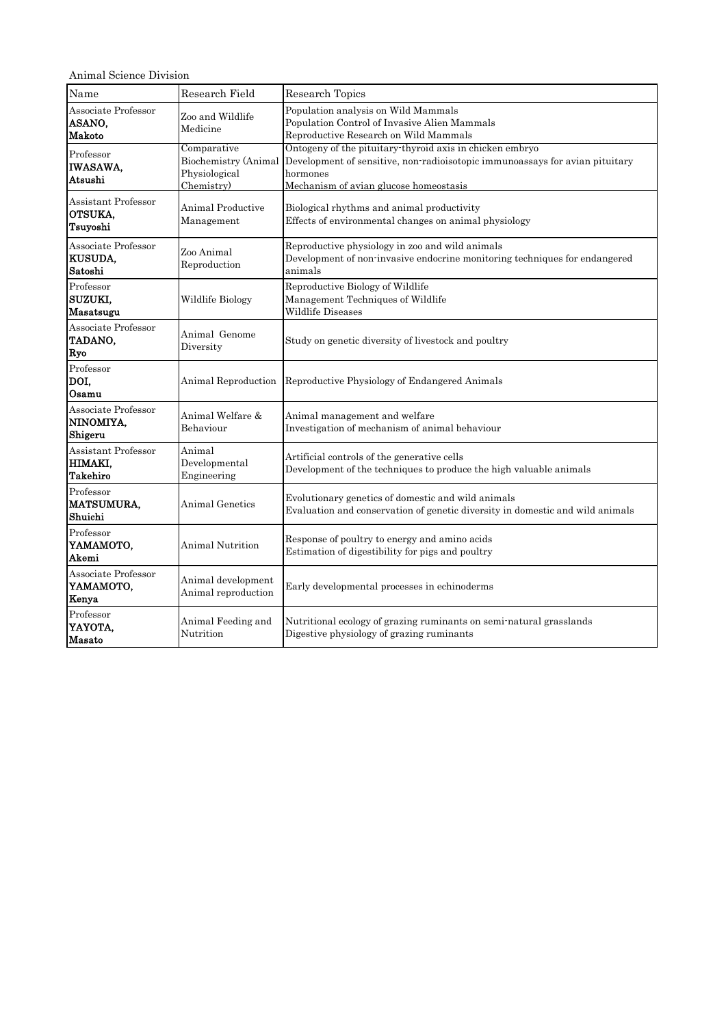Animal Science Division

| Name                                              | Research Field                                                     | Research Topics                                                                                                                                                                                |
|---------------------------------------------------|--------------------------------------------------------------------|------------------------------------------------------------------------------------------------------------------------------------------------------------------------------------------------|
| Associate Professor<br>ASANO,<br>Makoto           | Zoo and Wildlife<br>Medicine                                       | Population analysis on Wild Mammals<br>Population Control of Invasive Alien Mammals<br>Reproductive Research on Wild Mammals                                                                   |
| Professor<br><b>IWASAWA.</b><br>Atsushi           | Comparative<br>Biochemistry (Animal<br>Physiological<br>Chemistry) | Ontogeny of the pituitary-thyroid axis in chicken embryo<br>Development of sensitive, non-radioisotopic immunoassays for avian pituitary<br>hormones<br>Mechanism of avian glucose homeostasis |
| Assistant Professor<br>OTSUKA,<br>Tsuyoshi        | Animal Productive<br>Management                                    | Biological rhythms and animal productivity<br>Effects of environmental changes on animal physiology                                                                                            |
| Associate Professor<br><b>KUSUDA,</b><br>Satoshi  | Zoo Animal<br>Reproduction                                         | Reproductive physiology in zoo and wild animals<br>Development of non-invasive endocrine monitoring techniques for endangered<br>animals                                                       |
| Professor<br>SUZUKI,<br>Masatsugu                 | Wildlife Biology                                                   | Reproductive Biology of Wildlife<br>Management Techniques of Wildlife<br>Wildlife Diseases                                                                                                     |
| Associate Professor<br>TADANO,<br>Ryo             | Animal Genome<br>Diversity                                         | Study on genetic diversity of livestock and poultry                                                                                                                                            |
| Professor<br>DOI,<br>Osamu                        | Animal Reproduction                                                | Reproductive Physiology of Endangered Animals                                                                                                                                                  |
| Associate Professor<br>NINOMIYA,<br>Shigeru       | Animal Welfare &<br>Behaviour                                      | Animal management and welfare<br>Investigation of mechanism of animal behaviour                                                                                                                |
| Assistant Professor<br>HIMAKI,<br><b>Takehiro</b> | Animal<br>Developmental<br>Engineering                             | Artificial controls of the generative cells<br>Development of the techniques to produce the high valuable animals                                                                              |
| Professor<br><b>MATSUMURA,</b><br>Shuichi         | Animal Genetics                                                    | Evolutionary genetics of domestic and wild animals<br>Evaluation and conservation of genetic diversity in domestic and wild animals                                                            |
| Professor<br>YAMAMOTO,<br>Akemi                   | Animal Nutrition                                                   | Response of poultry to energy and amino acids<br>Estimation of digestibility for pigs and poultry                                                                                              |
| Associate Professor<br><b>YAMAMOTO,</b><br>Kenya  | Animal development<br>Animal reproduction                          | Early developmental processes in echinoderms                                                                                                                                                   |
| Professor<br><b>YAYOTA,</b><br><b>Masato</b>      | Animal Feeding and<br>Nutrition                                    | Nutritional ecology of grazing ruminants on semi-natural grasslands<br>Digestive physiology of grazing ruminants                                                                               |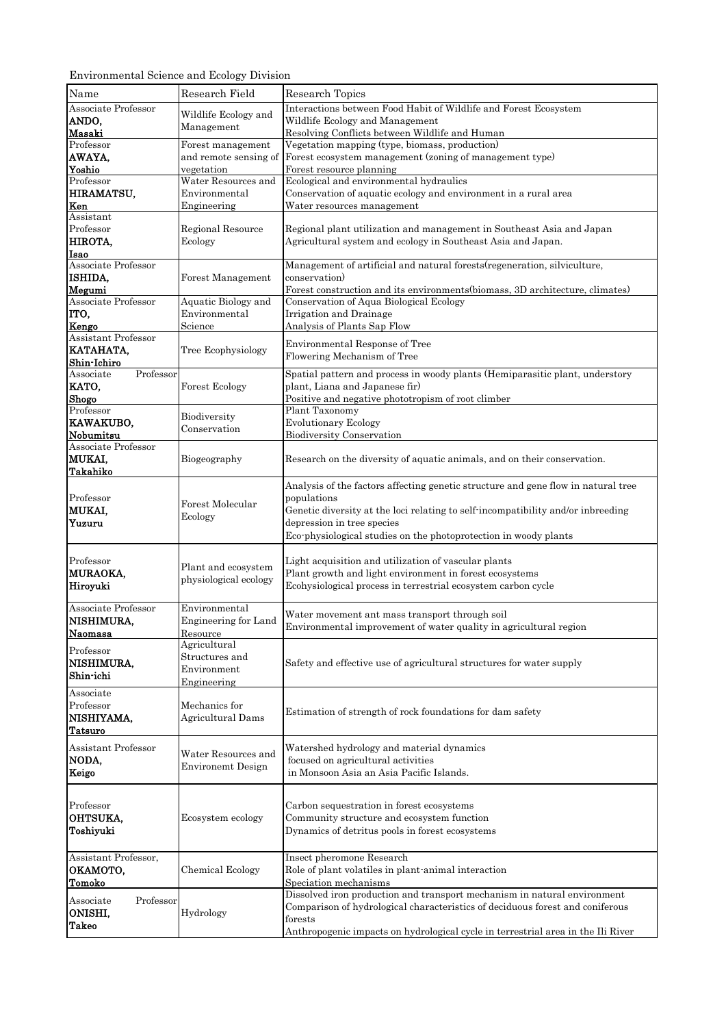Environmental Science and Ecology Division

| Name                                  | Research Field              | Research Topics                                                                   |
|---------------------------------------|-----------------------------|-----------------------------------------------------------------------------------|
| Associate Professor                   | Wildlife Ecology and        | Interactions between Food Habit of Wildlife and Forest Ecosystem                  |
| ANDO,                                 | Management                  | Wildlife Ecology and Management                                                   |
| Masaki                                |                             | Resolving Conflicts between Wildlife and Human                                    |
| Professor                             | Forest management           | Vegetation mapping (type, biomass, production)                                    |
| AWAYA,                                |                             | and remote sensing of Forest ecosystem management (zoning of management type)     |
| Yoshio                                | vegetation                  | Forest resource planning                                                          |
| Professor                             | Water Resources and         | Ecological and environmental hydraulics                                           |
| HIRAMATSU,<br>Ken                     | Environmental               | Conservation of aquatic ecology and environment in a rural area                   |
| Assistant                             | Engineering                 | Water resources management                                                        |
| Professor                             | Regional Resource           | Regional plant utilization and management in Southeast Asia and Japan             |
| HIROTA,                               | Ecology                     | Agricultural system and ecology in Southeast Asia and Japan.                      |
| Isao                                  |                             |                                                                                   |
| Associate Professor                   |                             | Management of artificial and natural forests (regeneration, silviculture,         |
| ISHIDA,                               | Forest Management           | conservation)                                                                     |
| Megumi                                |                             | Forest construction and its environments(biomass, 3D architecture, climates)      |
| Associate Professor                   | Aquatic Biology and         | Conservation of Aqua Biological Ecology                                           |
| ITO,                                  | Environmental               | Irrigation and Drainage                                                           |
| Kengo                                 | Science                     | Analysis of Plants Sap Flow                                                       |
| Assistant Professor                   |                             | Environmental Response of Tree                                                    |
| KATAHATA,                             | Tree Ecophysiology          | Flowering Mechanism of Tree                                                       |
| Shin-Ichiro<br>Professor<br>Associate |                             | Spatial pattern and process in woody plants (Hemiparasitic plant, understory      |
| KATO,                                 | Forest Ecology              | plant, Liana and Japanese fir)                                                    |
| Shogo                                 |                             | Positive and negative phototropism of root climber                                |
| Professor                             |                             | Plant Taxonomy                                                                    |
| KAWAKUBO,                             | Biodiversity                | <b>Evolutionary Ecology</b>                                                       |
| Nobumitsu                             | Conservation                | <b>Biodiversity Conservation</b>                                                  |
| Associate Professor                   |                             |                                                                                   |
| MUKAI,                                | Biogeography                | Research on the diversity of aquatic animals, and on their conservation.          |
| Takahiko                              |                             |                                                                                   |
|                                       |                             | Analysis of the factors affecting genetic structure and gene flow in natural tree |
| Professor                             | Forest Molecular            | populations                                                                       |
| MUKAI,                                | Ecology                     | Genetic diversity at the loci relating to self-incompatibility and/or inbreeding  |
| Yuzuru                                |                             | depression in tree species                                                        |
|                                       |                             | Eco-physiological studies on the photoprotection in woody plants                  |
|                                       |                             |                                                                                   |
| Professor                             | Plant and ecosystem         | Light acquisition and utilization of vascular plants                              |
| <b>MURAOKA,</b>                       | physiological ecology       | Plant growth and light environment in forest ecosystems                           |
| Hiroyuki                              |                             | Ecohysiological process in terrestrial ecosystem carbon cycle                     |
| Associate Professor                   | Environmental               |                                                                                   |
| NISHIMURA,                            | <b>Engineering for Land</b> | Water movement ant mass transport through soil                                    |
| Naomasa                               | Resource                    | Environmental improvement of water quality in agricultural region                 |
|                                       | Agricultural                |                                                                                   |
| Professor                             | Structures and              |                                                                                   |
| NISHIMURA,<br>Shin-ichi               | Environment                 | Safety and effective use of agricultural structures for water supply              |
|                                       | Engineering                 |                                                                                   |
| Associate                             |                             |                                                                                   |
| Professor                             | Mechanics for               | Estimation of strength of rock foundations for dam safety                         |
| NISHIYAMA,                            | Agricultural Dams           |                                                                                   |
| Tatsuro                               |                             |                                                                                   |
| Assistant Professor                   | Water Resources and         | Watershed hydrology and material dynamics                                         |
| NODA,                                 | <b>Environemt Design</b>    | focused on agricultural activities                                                |
| Keigo                                 |                             | in Monsoon Asia an Asia Pacific Islands.                                          |
|                                       |                             |                                                                                   |
| Professor                             |                             | Carbon sequestration in forest ecosystems                                         |
| <b>OHTSUKA,</b>                       | Ecosystem ecology           | Community structure and ecosystem function                                        |
| Toshiyuki                             |                             | Dynamics of detritus pools in forest ecosystems                                   |
|                                       |                             |                                                                                   |
| Assistant Professor,                  |                             | Insect pheromone Research                                                         |
| ОКАМОТО,                              | <b>Chemical Ecology</b>     | Role of plant volatiles in plant animal interaction                               |
| Tomoko                                |                             | Speciation mechanisms                                                             |
|                                       |                             | Dissolved iron production and transport mechanism in natural environment          |
| Professor<br>Associate<br>ONISHI,     | Hydrology                   | Comparison of hydrological characteristics of deciduous forest and coniferous     |
| Takeo                                 |                             | forests                                                                           |
|                                       |                             | Anthropogenic impacts on hydrological cycle in terrestrial area in the Ili River  |